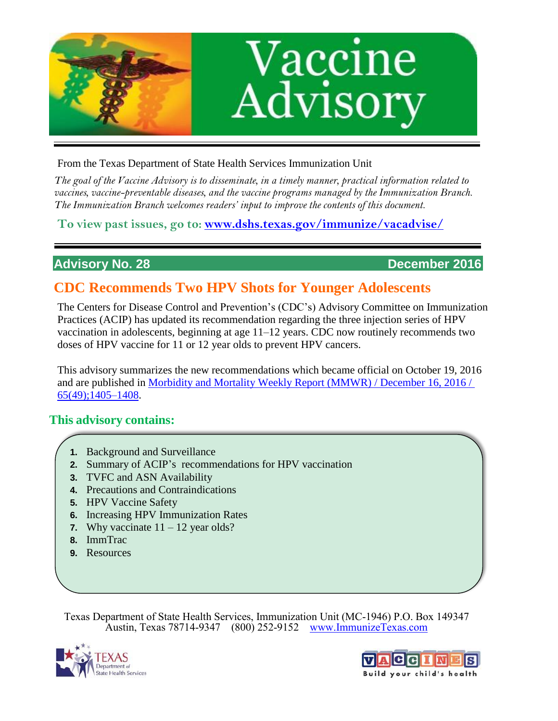

From the Texas Department of State Health Services Immunization Unit

*The goal of the Vaccine Advisory is to disseminate, in a timely manner, practical information related to vaccines, vaccine-preventable diseases, and the vaccine programs managed by the Immunization Branch. The Immunization Branch welcomes readers' input to improve the contents of this document.*

**To view past issues, go to: [www.dshs.texas.gov/immunize/vacadvise/](http://www.dshs.texas.gov/immunize/vacadvise/)**

**Advisory No. 28 December 2016** 

# **CDC Recommends Two HPV Shots for Younger Adolescents**

The Centers for Disease Control and Prevention's (CDC's) Advisory Committee on Immunization Practices (ACIP) has updated its recommendation regarding the three injection series of HPV vaccination in adolescents, beginning at age 11–12 years. CDC now routinely recommends two doses of HPV vaccine for 11 or 12 year olds to prevent HPV cancers.

This advisory summarizes the new recommendations which became official on October 19, 2016 and are published in [Morbidity and Mortality Weekly Report \(MMWR\) / December 16, 2016 /](https://www.cdc.gov/mmwr/volumes/65/wr/mm6549a5.htm?s_cid=mm6549a5_w)  [65\(49\);1405–1408.](https://www.cdc.gov/mmwr/volumes/65/wr/mm6549a5.htm?s_cid=mm6549a5_w)

# **This advisory contains:**

- **1.** Background and Surveillance
- **2.** Summary of ACIP's recommendations for HPV vaccination
- **3.** TVFC and ASN Availability
- **4.** Precautions and Contraindications
- **5.** HPV Vaccine Safety
- **6.** Increasing HPV Immunization Rates
- **7.** Why vaccinate  $11 12$  year olds?
- **8.** ImmTrac
- **9.** Resources

Texas Department of State Health Services, Immunization Unit (MC-1946) P.O. Box 149347 Austin, Texas 78714-9347 (800) 252-9152 [www.ImmunizeTexas.com](http://www.immunizetexas.com/)



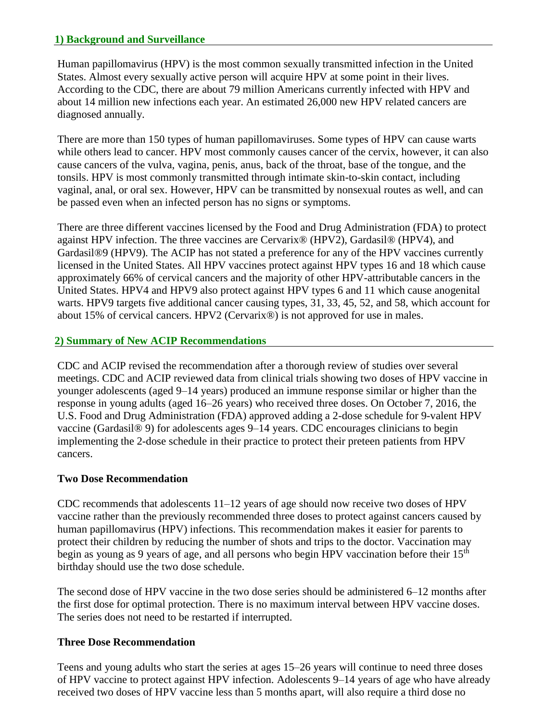#### **1) Background and Surveillance**

Human papillomavirus (HPV) is the most common sexually transmitted infection in the United States. Almost every sexually active person will acquire HPV at some point in their lives. According to the CDC, there are about 79 million Americans currently infected with HPV and about 14 million new infections each year. An estimated 26,000 new HPV related cancers are diagnosed annually.

There are more than 150 types of human papillomaviruses. Some types of HPV can cause warts while others lead to cancer. HPV most commonly causes cancer of the cervix, however, it can also cause cancers of the vulva, vagina, penis, anus, back of the throat, base of the tongue, and the tonsils. HPV is most commonly transmitted through intimate skin-to-skin contact, including vaginal, anal, or oral sex. However, HPV can be transmitted by nonsexual routes as well, and can be passed even when an infected person has no signs or symptoms.

There are three different vaccines licensed by the Food and Drug Administration (FDA) to protect against HPV infection. The three vaccines are Cervarix® (HPV2), Gardasil® (HPV4), and Gardasil®9 (HPV9). The ACIP has not stated a preference for any of the HPV vaccines currently licensed in the United States. All HPV vaccines protect against HPV types 16 and 18 which cause approximately 66% of cervical cancers and the majority of other HPV-attributable cancers in the United States. HPV4 and HPV9 also protect against HPV types 6 and 11 which cause anogenital warts. HPV9 targets five additional cancer causing types, 31, 33, 45, 52, and 58, which account for about 15% of cervical cancers. HPV2 (Cervarix®) is not approved for use in males.

#### **2) Summary of New ACIP Recommendations**

CDC and ACIP revised the recommendation after a thorough review of studies over several meetings. CDC and ACIP reviewed data from clinical trials showing two doses of HPV vaccine in younger adolescents (aged 9–14 years) produced an immune response similar or higher than the response in young adults (aged 16–26 years) who received three doses. On October 7, 2016, the U.S. Food and Drug Administration (FDA) approved adding a 2-dose schedule for 9-valent HPV vaccine (Gardasil® 9) for adolescents ages 9–14 years. CDC encourages clinicians to begin implementing the 2-dose schedule in their practice to protect their preteen patients from HPV cancers.

#### **Two Dose Recommendation**

CDC recommends that adolescents 11–12 years of age should now receive two doses of HPV vaccine rather than the previously recommended three doses to protect against cancers caused by human papillomavirus (HPV) infections. This recommendation makes it easier for parents to protect their children by reducing the number of shots and trips to the doctor. Vaccination may begin as young as 9 years of age, and all persons who begin HPV vaccination before their 15<sup>th</sup> birthday should use the two dose schedule.

The second dose of HPV vaccine in the two dose series should be administered 6–12 months after the first dose for optimal protection. There is no maximum interval between HPV vaccine doses. The series does not need to be restarted if interrupted.

#### **Three Dose Recommendation**

Teens and young adults who start the series at ages 15–26 years will continue to need three doses of HPV vaccine to protect against HPV infection. Adolescents 9–14 years of age who have already received two doses of HPV vaccine less than 5 months apart, will also require a third dose no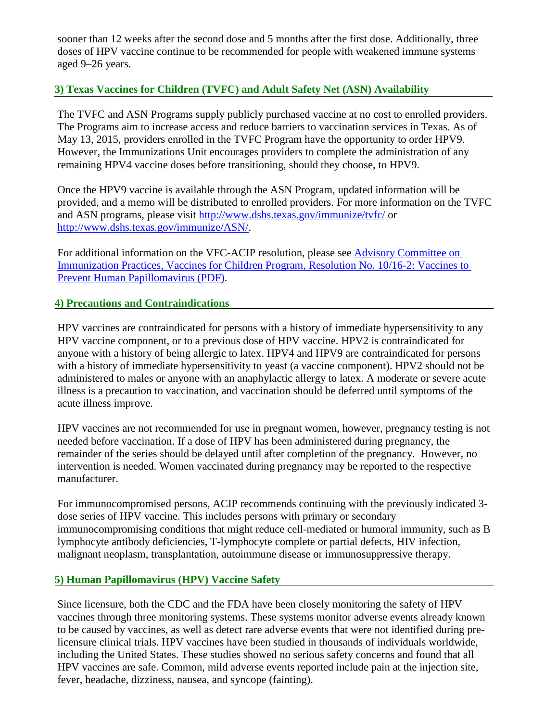sooner than 12 weeks after the second dose and 5 months after the first dose. Additionally, three doses of HPV vaccine continue to be recommended for people with weakened immune systems aged 9–26 years.

#### **3) Texas Vaccines for Children (TVFC) and Adult Safety Net (ASN) Availability**

The TVFC and ASN Programs supply publicly purchased vaccine at no cost to enrolled providers. The Programs aim to increase access and reduce barriers to vaccination services in Texas. As of May 13, 2015, providers enrolled in the TVFC Program have the opportunity to order HPV9. However, the Immunizations Unit encourages providers to complete the administration of any remaining HPV4 vaccine doses before transitioning, should they choose, to HPV9.

Once the HPV9 vaccine is available through the ASN Program, updated information will be provided, and a memo will be distributed to enrolled providers. For more information on the TVFC and ASN programs, please visit<http://www.dshs.texas.gov/immunize/tvfc/>or [http://www.dshs.texas.gov/immunize/ASN/.](http://www.dshs.texas.gov/immunize/ASN/)

For additional information on the VFC-ACIP resolution, please see [Advisory Committee on](https://www.cdc.gov/vaccines/programs/vfc/downloads/resolutions/2016-10-2-hpv.pdf)  [Immunization Practices, Vaccines for Children Program, Resolution No. 10/16-2: Vaccines to](https://www.cdc.gov/vaccines/programs/vfc/downloads/resolutions/2016-10-2-hpv.pdf)  [Prevent Human Papillomavirus \(PDF\).](https://www.cdc.gov/vaccines/programs/vfc/downloads/resolutions/2016-10-2-hpv.pdf)

#### **4) Precautions and Contraindications**

HPV vaccines are contraindicated for persons with a history of immediate hypersensitivity to any HPV vaccine component, or to a previous dose of HPV vaccine. HPV2 is contraindicated for anyone with a history of being allergic to latex. HPV4 and HPV9 are contraindicated for persons with a history of immediate hypersensitivity to yeast (a vaccine component). HPV2 should not be administered to males or anyone with an anaphylactic allergy to latex. A moderate or severe acute illness is a precaution to vaccination, and vaccination should be deferred until symptoms of the acute illness improve.

HPV vaccines are not recommended for use in pregnant women, however, pregnancy testing is not needed before vaccination. If a dose of HPV has been administered during pregnancy, the remainder of the series should be delayed until after completion of the pregnancy. However, no intervention is needed. Women vaccinated during pregnancy may be reported to the respective manufacturer.

For immunocompromised persons, ACIP recommends continuing with the previously indicated 3 dose series of HPV vaccine. This includes persons with primary or secondary immunocompromising conditions that might reduce cell-mediated or humoral immunity, such as B lymphocyte antibody deficiencies, T-lymphocyte complete or partial defects, HIV infection, malignant neoplasm, transplantation, autoimmune disease or immunosuppressive therapy.

#### **5) Human Papillomavirus (HPV) Vaccine Safety**

Since licensure, both the CDC and the FDA have been closely monitoring the safety of HPV vaccines through three monitoring systems. These systems monitor adverse events already known to be caused by vaccines, as well as detect rare adverse events that were not identified during prelicensure clinical trials. HPV vaccines have been studied in thousands of individuals worldwide, including the United States. These studies showed no serious safety concerns and found that all HPV vaccines are safe. Common, mild adverse events reported include pain at the injection site, fever, headache, dizziness, nausea, and syncope (fainting).